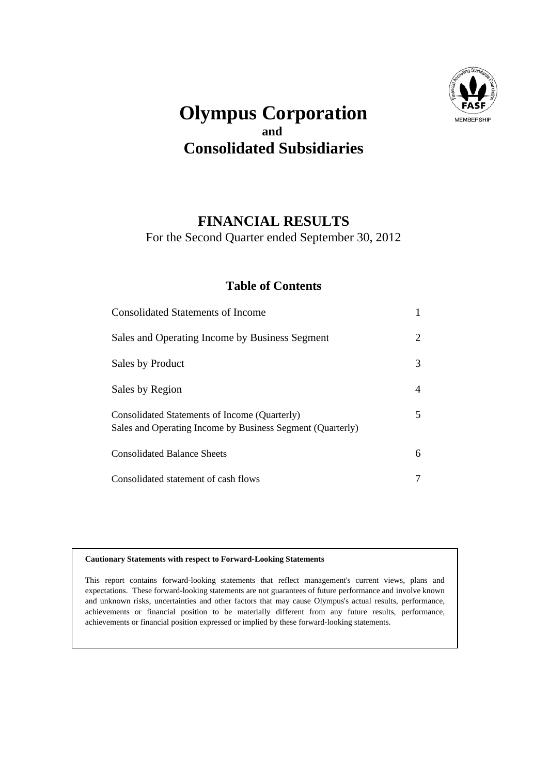

## **Olympus Corporation and Consolidated Subsidiaries**

### **FINANCIAL RESULTS**

For the Second Quarter ended September 30, 2012

### **Table of Contents**

| <b>Consolidated Statements of Income</b>                                                                    |   |
|-------------------------------------------------------------------------------------------------------------|---|
| Sales and Operating Income by Business Segment                                                              | 2 |
| Sales by Product                                                                                            | 3 |
| Sales by Region                                                                                             | 4 |
| Consolidated Statements of Income (Quarterly)<br>Sales and Operating Income by Business Segment (Quarterly) | 5 |
| <b>Consolidated Balance Sheets</b>                                                                          | 6 |
| Consolidated statement of cash flows                                                                        | 7 |

#### **Cautionary Statements with respect to Forward-Looking Statements**

This report contains forward-looking statements that reflect management's current views, plans and expectations. These forward-looking statements are not guarantees of future performance and involve known and unknown risks, uncertainties and other factors that may cause Olympus's actual results, performance, achievements or financial position to be materially different from any future results, performance, achievements or financial position expressed or implied by these forward-looking statements.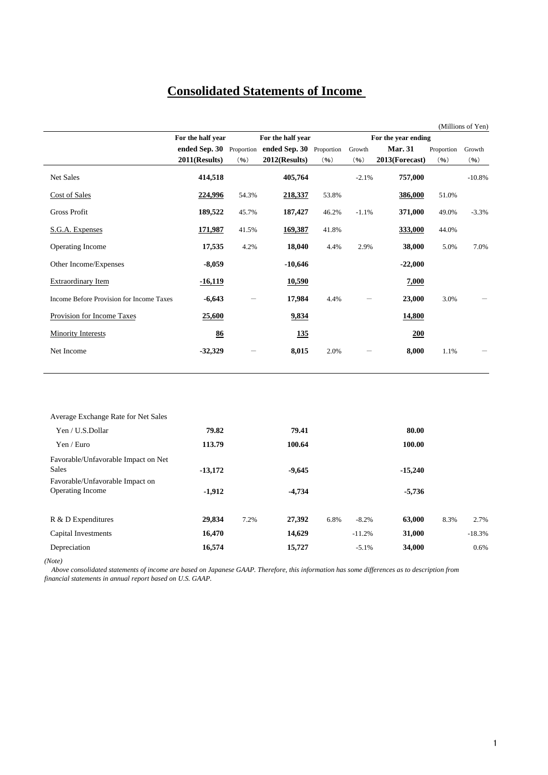## **Consolidated Statements of Income**

|                                          | For the half year |       | For the half year                                 |       |         | For the year ending |            |          |
|------------------------------------------|-------------------|-------|---------------------------------------------------|-------|---------|---------------------|------------|----------|
|                                          |                   |       | ended Sep. 30 Proportion ended Sep. 30 Proportion |       | Growth  | <b>Mar. 31</b>      | Proportion | Growth   |
|                                          | 2011(Results)     | (96)  | 2012(Results)                                     | (96)  | (96)    | 2013(Forecast)      | (96)       | (96)     |
| Net Sales                                | 414,518           |       | 405,764                                           |       | $-2.1%$ | 757,000             |            | $-10.8%$ |
| Cost of Sales                            | 224,996           | 54.3% | 218,337                                           | 53.8% |         | 386,000             | 51.0%      |          |
| <b>Gross Profit</b>                      | 189,522           | 45.7% | 187,427                                           | 46.2% | $-1.1%$ | 371,000             | 49.0%      | $-3.3%$  |
| S.G.A. Expenses                          | 171,987           | 41.5% | 169,387                                           | 41.8% |         | 333,000             | 44.0%      |          |
| Operating Income                         | 17,535            | 4.2%  | 18,040                                            | 4.4%  | 2.9%    | 38,000              | 5.0%       | 7.0%     |
| Other Income/Expenses                    | $-8,059$          |       | $-10,646$                                         |       |         | $-22,000$           |            |          |
| <b>Extraordinary Item</b>                | $-16,119$         |       | <u>10,590</u>                                     |       |         | 7,000               |            |          |
| Income Before Provision for Income Taxes | $-6,643$          |       | 17,984                                            | 4.4%  |         | 23,000              | 3.0%       |          |
| Provision for Income Taxes               | 25,600            |       | 9,834                                             |       |         | <b>14,800</b>       |            |          |
| <b>Minority Interests</b>                | 86                |       | <u>135</u>                                        |       |         | 200                 |            |          |
| Net Income                               | $-32,329$         |       | 8,015                                             | 2.0%  |         | 8,000               | 1.1%       |          |
|                                          |                   |       |                                                   |       |         |                     |            |          |

| Average Exchange Rate for Net Sales |           |      |          |                 |           |      |          |
|-------------------------------------|-----------|------|----------|-----------------|-----------|------|----------|
| Yen / U.S.Dollar                    | 79.82     |      | 79.41    |                 | 80.00     |      |          |
| Yen / Euro                          | 113.79    |      | 100.64   |                 | 100.00    |      |          |
| Favorable/Unfavorable Impact on Net |           |      |          |                 |           |      |          |
| <b>Sales</b>                        | $-13,172$ |      | $-9,645$ |                 | $-15,240$ |      |          |
| Favorable/Unfavorable Impact on     |           |      |          |                 |           |      |          |
| <b>Operating Income</b>             | $-1,912$  |      | $-4,734$ |                 | $-5,736$  |      |          |
|                                     |           |      |          |                 |           |      |          |
| R & D Expenditures                  | 29,834    | 7.2% | 27,392   | 6.8%<br>$-8.2%$ | 63,000    | 8.3% | 2.7%     |
| Capital Investments                 | 16,470    |      | 14,629   | $-11.2%$        | 31,000    |      | $-18.3%$ |
| Depreciation                        | 16,574    |      | 15,727   | $-5.1%$         | 34,000    |      | 0.6%     |

*(Note)*

 *Above consolidated statements of income are based on Japanese GAAP. Therefore, this information has some differences as to description from financial statements in annual report based on U.S. GAAP.*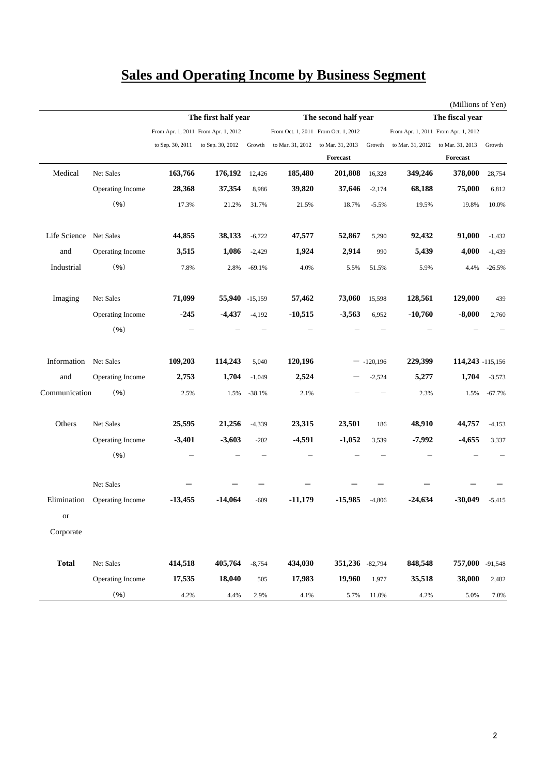## **Sales and Operating Income by Business Segment**

|               |                  |                                     |                     |          |                  |                                         |            |                                     | (Millions of Yen) |           |
|---------------|------------------|-------------------------------------|---------------------|----------|------------------|-----------------------------------------|------------|-------------------------------------|-------------------|-----------|
|               |                  |                                     | The first half year |          |                  | The second half year<br>The fiscal year |            |                                     |                   |           |
|               |                  | From Apr. 1, 2011 From Apr. 1, 2012 |                     |          |                  | From Oct. 1, 2011 From Oct. 1, 2012     |            | From Apr. 1, 2011 From Apr. 1, 2012 |                   |           |
|               |                  | to Sep. 30, 2011                    | to Sep. 30, 2012    | Growth   | to Mar. 31, 2012 | to Mar. 31, 2013                        | Growth     | to Mar. 31, 2012                    | to Mar. 31, 2013  | Growth    |
|               |                  |                                     |                     |          |                  | Forecast                                |            |                                     | <b>Forecast</b>   |           |
| Medical       | Net Sales        | 163,766                             | 176,192             | 12,426   | 185,480          | 201,808                                 | 16,328     | 349,246                             | 378,000           | 28,754    |
|               | Operating Income | 28,368                              | 37,354              | 8,986    | 39,820           | 37,646                                  | $-2,174$   | 68,188                              | 75,000            | 6,812     |
|               | (96)             | 17.3%                               | 21.2%               | 31.7%    | 21.5%            | 18.7%                                   | $-5.5%$    | 19.5%                               | 19.8%             | 10.0%     |
| Life Science  | Net Sales        | 44,855                              | 38,133              | $-6,722$ | 47,577           | 52,867                                  | 5,290      | 92,432                              | 91,000            | $-1,432$  |
| and           | Operating Income | 3,515                               | 1,086               | $-2,429$ | 1,924            | 2,914                                   | 990        | 5,439                               | 4,000             | $-1,439$  |
| Industrial    | (96)             | 7.8%                                | 2.8%                | $-69.1%$ | 4.0%             | 5.5%                                    | 51.5%      | 5.9%                                | 4.4%              | $-26.5%$  |
| Imaging       | Net Sales        | 71,099                              | 55,940 -15,159      |          | 57,462           | 73,060                                  | 15,598     | 128,561                             | 129,000           | 439       |
|               | Operating Income | $-245$                              | $-4,437$            | $-4,192$ | $-10,515$        | $-3,563$                                | 6,952      | $-10,760$                           | $-8,000$          | 2,760     |
|               | (96)             |                                     |                     |          |                  |                                         |            |                                     |                   |           |
| Information   | Net Sales        | 109,203                             | 114,243             | 5,040    | 120,196          |                                         | $-120,196$ | 229,399                             | 114,243 -115,156  |           |
| and           | Operating Income | 2,753                               | 1,704               | $-1,049$ | 2,524            |                                         | $-2,524$   | 5,277                               | 1,704             | $-3,573$  |
| Communication | (96)             | 2.5%                                | 1.5%                | $-38.1%$ | 2.1%             |                                         |            | 2.3%                                | 1.5%              | $-67.7%$  |
| Others        | Net Sales        | 25,595                              | 21,256              | $-4,339$ | 23,315           | 23,501                                  | 186        | 48,910                              | 44,757            | $-4,153$  |
|               | Operating Income | $-3,401$                            | $-3,603$            | $-202$   | $-4,591$         | $-1,052$                                | 3,539      | $-7,992$                            | $-4,655$          | 3,337     |
|               | (96)             |                                     |                     |          |                  |                                         |            |                                     |                   |           |
|               | Net Sales        |                                     |                     |          |                  |                                         |            |                                     |                   |           |
| Elimination   | Operating Income | $-13,455$                           | $-14,064$           | $-609$   | $-11,179$        | $-15,985$                               | $-4,806$   | $-24,634$                           | $-30,049$         | $-5,415$  |
| or            |                  |                                     |                     |          |                  |                                         |            |                                     |                   |           |
| Corporate     |                  |                                     |                     |          |                  |                                         |            |                                     |                   |           |
| <b>Total</b>  | Net Sales        | 414,518                             | 405,764             | $-8,754$ | 434,030          | 351,236                                 | $-82,794$  | 848,548                             | 757,000           | $-91,548$ |
|               | Operating Income | 17,535                              | 18,040              | 505      | 17,983           | 19,960                                  | 1,977      | 35,518                              | 38,000            | 2,482     |
|               | $(96)$           | 4.2%                                | 4.4%                | 2.9%     | 4.1%             | 5.7%                                    | 11.0%      | 4.2%                                | 5.0%              | $7.0\%$   |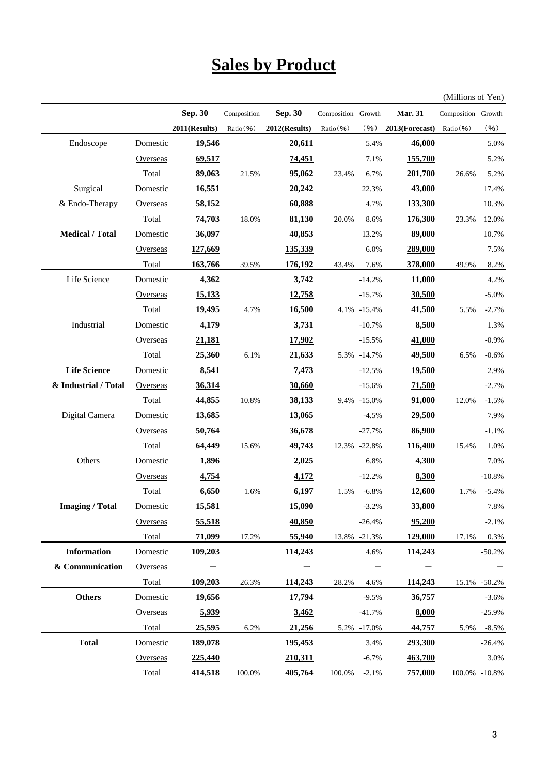# **Sales by Product**

(Millions of Yen)

|                        |          | Sep. 30       | Composition | <b>Sep. 30</b> | Composition Growth |              | <b>Mar. 31</b> | Composition Growth |               |
|------------------------|----------|---------------|-------------|----------------|--------------------|--------------|----------------|--------------------|---------------|
|                        |          | 2011(Results) | Ratio (%)   | 2012(Results)  | Ratio (%)          | (96)         | 2013(Forecast) | Ratio(%)           | (96)          |
| Endoscope              | Domestic | 19,546        |             | 20,611         |                    | 5.4%         | 46,000         |                    | 5.0%          |
|                        | Overseas | 69,517        |             | 74,451         |                    | 7.1%         | 155,700        |                    | 5.2%          |
|                        | Total    | 89,063        | 21.5%       | 95,062         | 23.4%              | 6.7%         | 201,700        | 26.6%              | 5.2%          |
| Surgical               | Domestic | 16,551        |             | 20,242         |                    | 22.3%        | 43,000         |                    | 17.4%         |
| & Endo-Therapy         | Overseas | 58,152        |             | 60,888         |                    | 4.7%         | 133,300        |                    | 10.3%         |
|                        | Total    | 74,703        | 18.0%       | 81,130         | 20.0%              | 8.6%         | 176,300        | 23.3%              | 12.0%         |
| <b>Medical / Total</b> | Domestic | 36,097        |             | 40,853         |                    | 13.2%        | 89,000         |                    | 10.7%         |
|                        | Overseas | 127,669       |             | 135,339        |                    | 6.0%         | 289,000        |                    | 7.5%          |
|                        | Total    | 163,766       | 39.5%       | 176,192        | 43.4%              | 7.6%         | 378,000        | 49.9%              | 8.2%          |
| Life Science           | Domestic | 4,362         |             | 3,742          |                    | $-14.2%$     | 11,000         |                    | 4.2%          |
|                        | Overseas | 15,133        |             | 12,758         |                    | $-15.7%$     | 30,500         |                    | $-5.0%$       |
|                        | Total    | 19,495        | 4.7%        | 16,500         |                    | 4.1% -15.4%  | 41,500         | 5.5%               | $-2.7%$       |
| Industrial             | Domestic | 4,179         |             | 3,731          |                    | $-10.7%$     | 8,500          |                    | 1.3%          |
|                        | Overseas | 21,181        |             | 17,902         |                    | $-15.5%$     | 41,000         |                    | $-0.9%$       |
|                        | Total    | 25,360        | 6.1%        | 21,633         |                    | 5.3% -14.7%  | 49,500         | 6.5%               | $-0.6%$       |
| <b>Life Science</b>    | Domestic | 8,541         |             | 7,473          |                    | $-12.5%$     | 19,500         |                    | 2.9%          |
| & Industrial / Total   | Overseas | 36,314        |             | 30,660         |                    | $-15.6%$     | <u>71,500</u>  |                    | $-2.7%$       |
|                        | Total    | 44,855        | 10.8%       | 38,133         |                    | 9.4% -15.0%  | 91,000         | 12.0%              | $-1.5%$       |
| Digital Camera         | Domestic | 13,685        |             | 13,065         |                    | $-4.5%$      | 29,500         |                    | 7.9%          |
|                        | Overseas | 50,764        |             | 36,678         |                    | $-27.7%$     | 86,900         |                    | $-1.1%$       |
|                        | Total    | 64,449        | 15.6%       | 49,743         |                    | 12.3% -22.8% | 116,400        | 15.4%              | 1.0%          |
| Others                 | Domestic | 1,896         |             | 2,025          |                    | 6.8%         | 4,300          |                    | 7.0%          |
|                        | Overseas | 4,754         |             | 4,172          |                    | $-12.2%$     | 8,300          |                    | $-10.8%$      |
|                        | Total    | 6,650         | 1.6%        | 6,197          | 1.5%               | $-6.8%$      | 12,600         | 1.7%               | $-5.4%$       |
| <b>Imaging / Total</b> | Domestic | 15,581        |             | 15,090         |                    | $-3.2%$      | 33,800         |                    | 7.8%          |
|                        | Overseas | 55,518        |             | 40,850         |                    | $-26.4%$     | 95,200         |                    | $-2.1%$       |
|                        | Total    | 71,099        | 17.2%       | 55,940         |                    | 13.8% -21.3% | 129,000        | 17.1%              | 0.3%          |
| <b>Information</b>     | Domestic | 109,203       |             | 114,243        |                    | 4.6%         | 114,243        |                    | $-50.2%$      |
| & Communication        | Overseas |               |             |                |                    |              |                |                    |               |
|                        | Total    | 109,203       | 26.3%       | 114,243        | 28.2%              | 4.6%         | 114,243        | 15.1%              | $-50.2%$      |
| <b>Others</b>          | Domestic | 19,656        |             | 17,794         |                    | $-9.5%$      | 36,757         |                    | $-3.6%$       |
|                        | Overseas | 5,939         |             | 3,462          |                    | $-41.7%$     | 8,000          |                    | $-25.9%$      |
|                        | Total    | 25,595        | 6.2%        | 21,256         |                    | 5.2% -17.0%  | 44,757         | 5.9%               | $-8.5%$       |
| <b>Total</b>           | Domestic | 189,078       |             | 195,453        |                    | 3.4%         | 293,300        |                    | $-26.4%$      |
|                        | Overseas | 225,440       |             | 210,311        |                    | $-6.7%$      | 463,700        |                    | 3.0%          |
|                        | Total    | 414,518       | 100.0%      | 405,764        | 100.0%             | $-2.1%$      | 757,000        |                    | 100.0% -10.8% |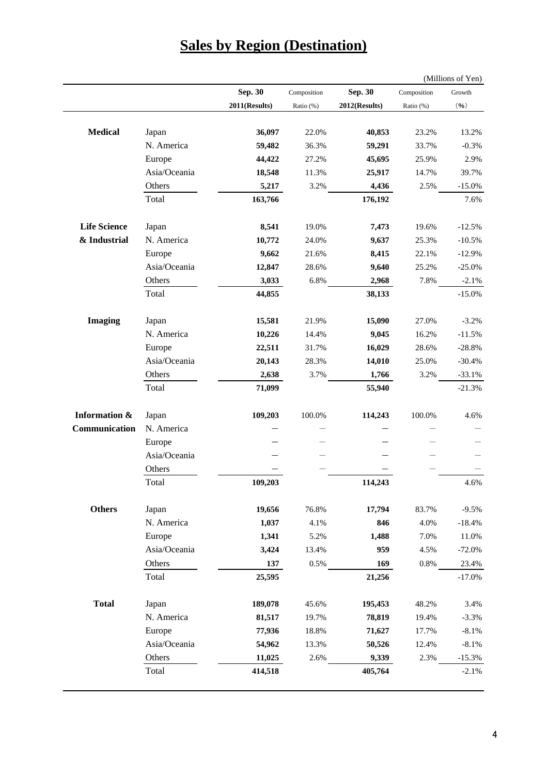| <b>Sales by Region (Destination)</b> |
|--------------------------------------|
|--------------------------------------|

|                          |              |               |             |               |             | (Millions of Yen) |
|--------------------------|--------------|---------------|-------------|---------------|-------------|-------------------|
|                          |              | Sep. 30       | Composition | Sep. 30       | Composition | Growth            |
|                          |              | 2011(Results) | Ratio (%)   | 2012(Results) | Ratio (%)   | (96)              |
| <b>Medical</b>           | Japan        | 36,097        | 22.0%       | 40,853        | 23.2%       | 13.2%             |
|                          | N. America   | 59,482        | 36.3%       | 59,291        | 33.7%       | $-0.3%$           |
|                          | Europe       | 44,422        | 27.2%       | 45,695        | 25.9%       | 2.9%              |
|                          | Asia/Oceania | 18,548        | 11.3%       | 25,917        | 14.7%       | 39.7%             |
|                          | Others       | 5,217         | 3.2%        | 4,436         | 2.5%        | $-15.0%$          |
|                          | Total        | 163,766       |             | 176,192       |             | 7.6%              |
| <b>Life Science</b>      | Japan        | 8,541         | 19.0%       | 7,473         | 19.6%       | $-12.5%$          |
| & Industrial             | N. America   | 10,772        | 24.0%       | 9,637         | 25.3%       | $-10.5%$          |
|                          | Europe       | 9,662         | 21.6%       | 8,415         | 22.1%       | $-12.9%$          |
|                          | Asia/Oceania | 12,847        | 28.6%       | 9,640         | 25.2%       | $-25.0%$          |
|                          | Others       | 3,033         | 6.8%        | 2,968         | 7.8%        | $-2.1%$           |
|                          | Total        | 44,855        |             | 38,133        |             | $-15.0%$          |
| <b>Imaging</b>           | Japan        | 15,581        | 21.9%       | 15,090        | 27.0%       | $-3.2%$           |
|                          | N. America   | 10,226        | 14.4%       | 9,045         | 16.2%       | $-11.5%$          |
|                          | Europe       | 22,511        | 31.7%       | 16,029        | 28.6%       | $-28.8%$          |
|                          | Asia/Oceania | 20,143        | 28.3%       | 14,010        | 25.0%       | $-30.4%$          |
|                          | Others       | 2,638         | 3.7%        | 1,766         | 3.2%        | $-33.1%$          |
|                          | Total        | 71,099        |             | 55,940        |             | $-21.3%$          |
| <b>Information &amp;</b> | Japan        | 109,203       | 100.0%      | 114,243       | 100.0%      | 4.6%              |
| Communication            | N. America   |               |             |               |             |                   |
|                          | Europe       |               |             |               |             |                   |
|                          | Asia/Oceania |               |             |               |             |                   |
|                          | Others       |               |             |               |             |                   |
|                          | Total        | 109,203       |             | 114,243       |             | 4.6%              |
| <b>Others</b>            | Japan        | 19,656        | 76.8%       | 17,794        | 83.7%       | $-9.5%$           |
|                          | N. America   | 1,037         | 4.1%        | 846           | 4.0%        | $-18.4%$          |
|                          | Europe       | 1,341         | 5.2%        | 1,488         | 7.0%        | 11.0%             |
|                          | Asia/Oceania | 3,424         | 13.4%       | 959           | 4.5%        | $-72.0%$          |
|                          | Others       | 137           | 0.5%        | 169           | $0.8\%$     | 23.4%             |
|                          | Total        | 25,595        |             | 21,256        |             | $-17.0%$          |
| <b>Total</b>             | Japan        | 189,078       | 45.6%       | 195,453       | 48.2%       | 3.4%              |
|                          | N. America   | 81,517        | 19.7%       | 78,819        | 19.4%       | $-3.3%$           |
|                          | Europe       | 77,936        | 18.8%       | 71,627        | 17.7%       | $-8.1%$           |
|                          | Asia/Oceania | 54,962        | 13.3%       | 50,526        | 12.4%       | $-8.1%$           |
|                          | Others       | 11,025        | 2.6%        | 9,339         | 2.3%        | $-15.3%$          |
|                          | Total        | 414,518       |             | 405,764       |             | $-2.1%$           |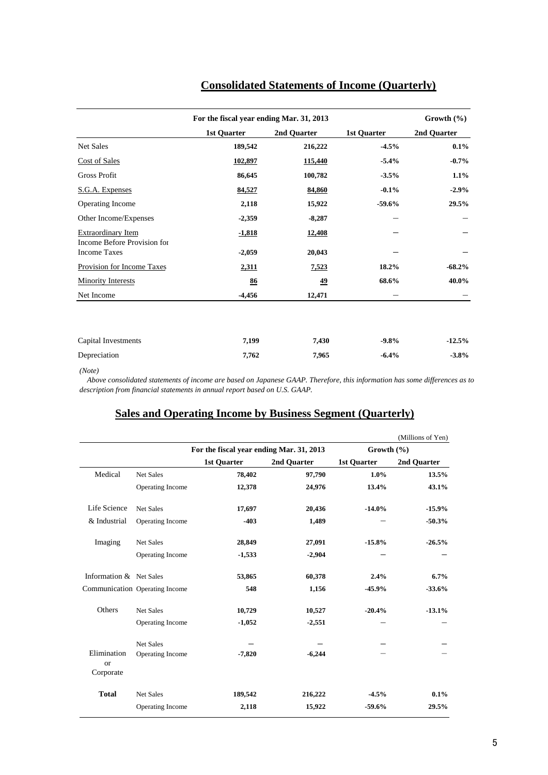|                                                          | For the fiscal year ending Mar. 31, 2013 | Growth (%)  |                    |             |
|----------------------------------------------------------|------------------------------------------|-------------|--------------------|-------------|
|                                                          | 1st Quarter                              | 2nd Quarter | <b>1st Quarter</b> | 2nd Quarter |
| Net Sales                                                | 189,542                                  | 216,222     | $-4.5%$            | $0.1\%$     |
| <b>Cost of Sales</b>                                     | 102,897                                  | 115,440     | $-5.4%$            | $-0.7\%$    |
| Gross Profit                                             | 86,645                                   | 100,782     | $-3.5%$            | $1.1\%$     |
| S.G.A. Expenses                                          | 84,527                                   | 84,860      | $-0.1%$            | $-2.9%$     |
| Operating Income                                         | 2,118                                    | 15,922      | $-59.6%$           | 29.5%       |
| Other Income/Expenses                                    | $-2,359$                                 | $-8,287$    |                    |             |
| <b>Extraordinary Item</b><br>Income Before Provision for | <u>-1,818</u>                            | 12,408      |                    |             |
| <b>Income Taxes</b>                                      | $-2,059$                                 | 20,043      |                    |             |
| Provision for Income Taxes                               | 2,311                                    | 7,523       | 18.2%              | $-68.2\%$   |
| <b>Minority Interests</b>                                | 86                                       | <u>49</u>   | 68.6%              | 40.0%       |
| Net Income                                               | $-4,456$                                 | 12,471      |                    |             |
|                                                          |                                          |             |                    |             |
| Capital Investments                                      | 7,199                                    | 7,430       | $-9.8%$            | $-12.5%$    |
| Depreciation                                             | 7,762                                    | 7,965       | $-6.4%$            | $-3.8%$     |

### **Consolidated Statements of Income (Quarterly)**

*(Note)*

 *Above consolidated statements of income are based on Japanese GAAP. Therefore, this information has some differences as to description from financial statements in annual report based on U.S. GAAP.*

#### **Sales and Operating Income by Business Segment (Quarterly)**

|                                       |                                |                                          |             |                    | (Millions of Yen) |
|---------------------------------------|--------------------------------|------------------------------------------|-------------|--------------------|-------------------|
|                                       |                                | For the fiscal year ending Mar. 31, 2013 |             | Growth $(\% )$     |                   |
|                                       |                                | 1st Quarter                              | 2nd Quarter | <b>1st Quarter</b> | 2nd Quarter       |
| Medical                               | Net Sales                      | 78,402                                   | 97,790      | $1.0\%$            | 13.5%             |
|                                       | Operating Income               | 12,378                                   | 24,976      | 13.4%              | 43.1%             |
| Life Science                          | Net Sales                      | 17,697                                   | 20,436      | $-14.0%$           | $-15.9%$          |
| & Industrial                          | Operating Income               | $-403$                                   | 1,489       |                    | $-50.3%$          |
| Imaging                               | Net Sales                      | 28,849                                   | 27,091      | $-15.8%$           | $-26.5%$          |
|                                       | Operating Income               | $-1,533$                                 | $-2,904$    |                    |                   |
| Information & Net Sales               |                                | 53,865                                   | 60,378      | 2.4%               | 6.7%              |
|                                       | Communication Operating Income | 548                                      | 1,156       | $-45.9%$           | $-33.6%$          |
| Others                                | Net Sales                      | 10,729                                   | 10,527      | $-20.4%$           | $-13.1%$          |
|                                       | Operating Income               | $-1,052$                                 | $-2,551$    |                    |                   |
|                                       | Net Sales                      |                                          |             |                    |                   |
| Elimination<br><b>or</b><br>Corporate | Operating Income               | $-7,820$                                 | $-6,244$    |                    |                   |
| <b>Total</b>                          | Net Sales                      | 189,542                                  | 216,222     | $-4.5%$            | $0.1\%$           |
|                                       | Operating Income               | 2,118                                    | 15,922      | $-59.6%$           | 29.5%             |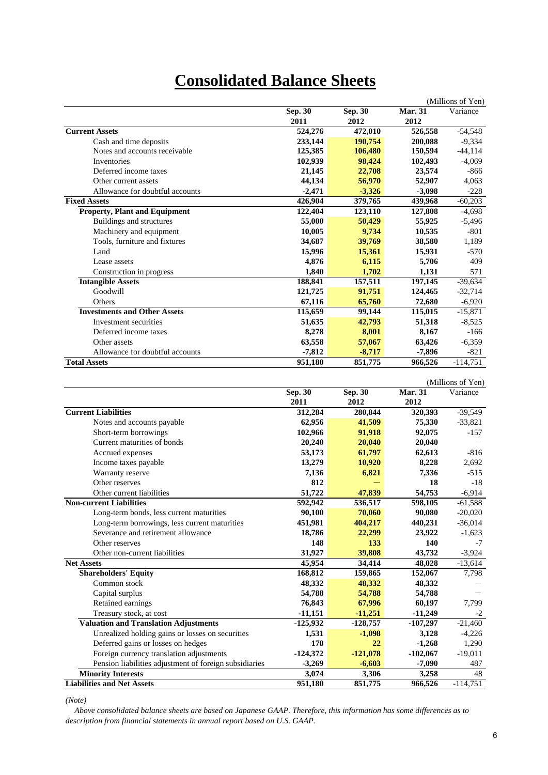## **Consolidated Balance Sheets**

|                                      |                |                |                | (Millions of Yen) |
|--------------------------------------|----------------|----------------|----------------|-------------------|
|                                      | <b>Sep. 30</b> | <b>Sep. 30</b> | <b>Mar. 31</b> | Variance          |
|                                      | 2011           | 2012           | 2012           |                   |
| <b>Current Assets</b>                | 524,276        | 472,010        | 526,558        | $-54,548$         |
| Cash and time deposits               | 233,144        | 190,754        | 200,088        | $-9,334$          |
| Notes and accounts receivable        | 125,385        | 106,480        | 150,594        | $-44, 114$        |
| Inventories                          | 102,939        | 98,424         | 102,493        | $-4.069$          |
| Deferred income taxes                | 21,145         | 22,708         | 23,574         | $-866$            |
| Other current assets                 | 44,134         | 56,970         | 52,907         | 4,063             |
| Allowance for doubtful accounts      | $-2,471$       | $-3,326$       | $-3,098$       | $-228$            |
| <b>Fixed Assets</b>                  | 426,904        | 379,765        | 439,968        | $-60,203$         |
| <b>Property, Plant and Equipment</b> | 122,404        | 123,110        | 127,808        | $-4,698$          |
| Buildings and structures             | 55,000         | 50,429         | 55,925         | $-5,496$          |
| Machinery and equipment              | 10,005         | 9,734          | 10,535         | $-801$            |
| Tools, furniture and fixtures        | 34,687         | 39,769         | 38,580         | 1,189             |
| Land                                 | 15,996         | 15,361         | 15,931         | $-570$            |
| Lease assets                         | 4,876          | 6,115          | 5,706          | 409               |
| Construction in progress             | 1,840          | 1.702          | 1,131          | 571               |
| <b>Intangible Assets</b>             | 188,841        | 157,511        | 197,145        | $-39,634$         |
| Goodwill                             | 121,725        | 91,751         | 124,465        | $-32,714$         |
| Others                               | 67,116         | 65,760         | 72,680         | $-6,920$          |
| <b>Investments and Other Assets</b>  | 115,659        | 99,144         | 115,015        | $-15,871$         |
| Investment securities                | 51,635         | 42,793         | 51,318         | $-8.525$          |
| Deferred income taxes                | 8,278          | 8,001          | 8.167          | $-166$            |
| Other assets                         | 63,558         | 57,067         | 63,426         | $-6,359$          |
| Allowance for doubtful accounts      | $-7,812$       | $-8,717$       | $-7,896$       | $-821$            |
| <b>Total Assets</b>                  | 951,180        | 851,775        | 966,526        | $-114,751$        |

|                                                        |            |            |                | (Millions of Yen) |
|--------------------------------------------------------|------------|------------|----------------|-------------------|
|                                                        | Sep. 30    | Sep. 30    | <b>Mar. 31</b> | Variance          |
|                                                        | 2011       | 2012       | 2012           |                   |
| <b>Current Liabilities</b>                             | 312,284    | 280,844    | 320,393        | $-39,549$         |
| Notes and accounts payable                             | 62,956     | 41,509     | 75,330         | $-33,821$         |
| Short-term borrowings                                  | 102,966    | 91,918     | 92,075         | $-157$            |
| Current maturities of bonds                            | 20,240     | 20,040     | 20,040         |                   |
| Accrued expenses                                       | 53,173     | 61,797     | 62,613         | $-816$            |
| Income taxes payable                                   | 13,279     | 10,920     | 8,228          | 2,692             |
| Warranty reserve                                       | 7,136      | 6,821      | 7,336          | $-515$            |
| Other reserves                                         | 812        |            | 18             | $-18$             |
| Other current liabilities                              | 51,722     | 47,839     | 54,753         | $-6,914$          |
| <b>Non-current Liabilities</b>                         | 592,942    | 536,517    | 598,105        | $-61,588$         |
| Long-term bonds, less current maturities               | 90,100     | 70,060     | 90,080         | $-20,020$         |
| Long-term borrowings, less current maturities          | 451,981    | 404,217    | 440,231        | $-36,014$         |
| Severance and retirement allowance                     | 18,786     | 22,299     | 23,922         | $-1,623$          |
| Other reserves                                         | 148        | 133        | 140            | $-7$              |
| Other non-current liabilities                          | 31,927     | 39,808     | 43,732         | $-3,924$          |
| <b>Net Assets</b>                                      | 45,954     | 34,414     | 48,028         | $-13,614$         |
| <b>Shareholders' Equity</b>                            | 168,812    | 159,865    | 152,067        | 7,798             |
| Common stock                                           | 48.332     | 48,332     | 48,332         |                   |
| Capital surplus                                        | 54,788     | 54,788     | 54,788         |                   |
| Retained earnings                                      | 76,843     | 67,996     | 60,197         | 7,799             |
| Treasury stock, at cost                                | $-11,151$  | $-11,251$  | $-11,249$      | $-2$              |
| <b>Valuation and Translation Adjustments</b>           | $-125,932$ | $-128,757$ | $-107,297$     | $-21,460$         |
| Unrealized holding gains or losses on securities       | 1,531      | $-1,098$   | 3,128          | $-4,226$          |
| Deferred gains or losses on hedges                     | 178        | 22         | $-1,268$       | 1,290             |
| Foreign currency translation adjustments               | $-124,372$ | $-121,078$ | $-102,067$     | $-19,011$         |
| Pension liabilities adjustment of foreign subsidiaries | $-3,269$   | $-6,603$   | $-7,090$       | 487               |
| <b>Minority Interests</b>                              | 3,074      | 3,306      | 3,258          | 48                |
| <b>Liabilities and Net Assets</b>                      | 951,180    | 851,775    | 966,526        | $-114,751$        |

*(Note)*

 *Above consolidated balance sheets are based on Japanese GAAP. Therefore, this information has some differences as to description from financial statements in annual report based on U.S. GAAP.*